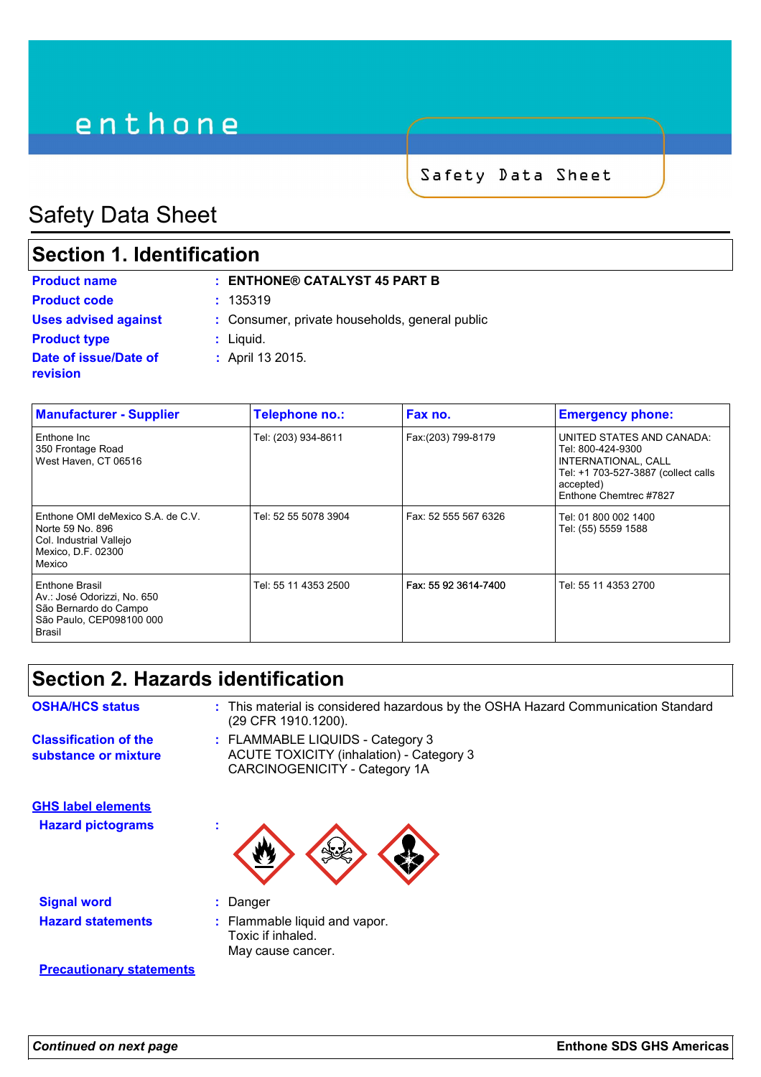# enthone

Safety Data Sheet

## Safety Data Sheet

### **Section 1. Identification**

| <b>Product name</b>                      | : ENTHONE® CATALYST 45 PART B                  |
|------------------------------------------|------------------------------------------------|
| <b>Product code</b>                      | : 135319                                       |
| <b>Uses advised against</b>              | : Consumer, private households, general public |
| <b>Product type</b>                      | $:$ Liquid.                                    |
| Date of issue/Date of<br><b>revision</b> | : April 13 2015.                               |

| <b>Manufacturer - Supplier</b>                                                                                   | Telephone no.:       | Fax no.              | <b>Emergency phone:</b>                                                                                                                             |
|------------------------------------------------------------------------------------------------------------------|----------------------|----------------------|-----------------------------------------------------------------------------------------------------------------------------------------------------|
| Enthone Inc<br>350 Frontage Road<br>West Haven, CT 06516                                                         | Tel: (203) 934-8611  | Fax:(203) 799-8179   | UNITED STATES AND CANADA:<br>Tel: 800-424-9300<br>INTERNATIONAL, CALL<br>Tel: +1 703-527-3887 (collect calls<br>accepted)<br>Enthone Chemtrec #7827 |
| Enthone OMI deMexico S.A. de C.V.<br>Norte 59 No. 896<br>Col. Industrial Vallejo<br>Mexico, D.F. 02300<br>Mexico | Tel: 52 55 5078 3904 | Fax: 52 555 567 6326 | Tel: 01 800 002 1400<br>Tel: (55) 5559 1588                                                                                                         |
| Enthone Brasil<br>Av.: José Odorizzi, No. 650<br>São Bernardo do Campo<br>São Paulo, CEP098100 000<br>Brasil     | Tel: 55 11 4353 2500 | Fax: 55 92 3614-7400 | Tel: 55 11 4353 2700                                                                                                                                |

### **Section 2. Hazards identification** FLAMMABLE LIQUIDS - Category 3 **:** ACUTE TOXICITY (inhalation) - Category 3 CARCINOGENICITY - Category 1A **Classification of the substance or mixture Signal word :** Danger **Hazard statements :** Flammable liquid and vapor. Toxic if inhaled. May cause cancer. **Hazard pictograms : Precautionary statements GHS label elements OSHA/HCS status :** This material is considered hazardous by the OSHA Hazard Communication Standard (29 CFR 1910.1200).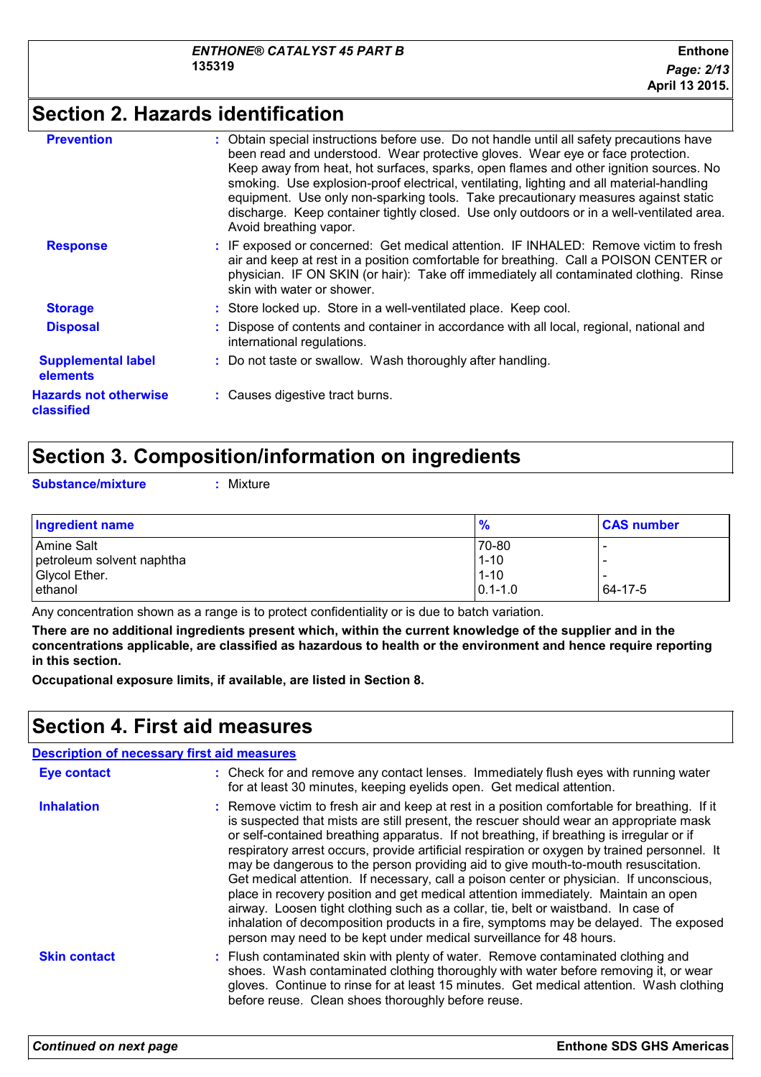## **Section 2. Hazards identification**

| <b>Prevention</b>                            | : Obtain special instructions before use. Do not handle until all safety precautions have<br>been read and understood. Wear protective gloves. Wear eye or face protection.<br>Keep away from heat, hot surfaces, sparks, open flames and other ignition sources. No<br>smoking. Use explosion-proof electrical, ventilating, lighting and all material-handling<br>equipment. Use only non-sparking tools. Take precautionary measures against static<br>discharge. Keep container tightly closed. Use only outdoors or in a well-ventilated area.<br>Avoid breathing vapor. |
|----------------------------------------------|-------------------------------------------------------------------------------------------------------------------------------------------------------------------------------------------------------------------------------------------------------------------------------------------------------------------------------------------------------------------------------------------------------------------------------------------------------------------------------------------------------------------------------------------------------------------------------|
| <b>Response</b>                              | : IF exposed or concerned: Get medical attention. IF INHALED: Remove victim to fresh<br>air and keep at rest in a position comfortable for breathing. Call a POISON CENTER or<br>physician. IF ON SKIN (or hair): Take off immediately all contaminated clothing. Rinse<br>skin with water or shower.                                                                                                                                                                                                                                                                         |
| <b>Storage</b>                               | : Store locked up. Store in a well-ventilated place. Keep cool.                                                                                                                                                                                                                                                                                                                                                                                                                                                                                                               |
| <b>Disposal</b>                              | : Dispose of contents and container in accordance with all local, regional, national and<br>international regulations.                                                                                                                                                                                                                                                                                                                                                                                                                                                        |
| <b>Supplemental label</b><br><b>elements</b> | : Do not taste or swallow. Wash thoroughly after handling.                                                                                                                                                                                                                                                                                                                                                                                                                                                                                                                    |
| <b>Hazards not otherwise</b><br>classified   | : Causes digestive tract burns.                                                                                                                                                                                                                                                                                                                                                                                                                                                                                                                                               |
|                                              |                                                                                                                                                                                                                                                                                                                                                                                                                                                                                                                                                                               |

### **Section 3. Composition/information on ingredients**

**Substance/mixture :** Mixture

| <b>Ingredient name</b>    | $\frac{9}{6}$ | <b>CAS number</b> |
|---------------------------|---------------|-------------------|
| Amine Salt                | 70-80         |                   |
| petroleum solvent naphtha | $1 - 10$      |                   |
| Glycol Ether.             | $1 - 10$      |                   |
| ethanol                   | $10.1 - 1.0$  | 64-17-5           |

Any concentration shown as a range is to protect confidentiality or is due to batch variation.

**There are no additional ingredients present which, within the current knowledge of the supplier and in the concentrations applicable, are classified as hazardous to health or the environment and hence require reporting in this section.**

**Occupational exposure limits, if available, are listed in Section 8.**

## **Section 4. First aid measures**

|                     | <b>Description of necessary first aid measures</b>                                                                                                                                                                                                                                                                                                                                                                                                                                                                                                                                                                                                                                                                                                                                                                                                                                                             |
|---------------------|----------------------------------------------------------------------------------------------------------------------------------------------------------------------------------------------------------------------------------------------------------------------------------------------------------------------------------------------------------------------------------------------------------------------------------------------------------------------------------------------------------------------------------------------------------------------------------------------------------------------------------------------------------------------------------------------------------------------------------------------------------------------------------------------------------------------------------------------------------------------------------------------------------------|
| <b>Eye contact</b>  | : Check for and remove any contact lenses. Immediately flush eyes with running water<br>for at least 30 minutes, keeping eyelids open. Get medical attention.                                                                                                                                                                                                                                                                                                                                                                                                                                                                                                                                                                                                                                                                                                                                                  |
| <b>Inhalation</b>   | : Remove victim to fresh air and keep at rest in a position comfortable for breathing. If it<br>is suspected that mists are still present, the rescuer should wear an appropriate mask<br>or self-contained breathing apparatus. If not breathing, if breathing is irregular or if<br>respiratory arrest occurs, provide artificial respiration or oxygen by trained personnel. It<br>may be dangerous to the person providing aid to give mouth-to-mouth resuscitation.<br>Get medical attention. If necessary, call a poison center or physician. If unconscious,<br>place in recovery position and get medical attention immediately. Maintain an open<br>airway. Loosen tight clothing such as a collar, tie, belt or waistband. In case of<br>inhalation of decomposition products in a fire, symptoms may be delayed. The exposed<br>person may need to be kept under medical surveillance for 48 hours. |
| <b>Skin contact</b> | : Flush contaminated skin with plenty of water. Remove contaminated clothing and<br>shoes. Wash contaminated clothing thoroughly with water before removing it, or wear<br>gloves. Continue to rinse for at least 15 minutes. Get medical attention. Wash clothing<br>before reuse. Clean shoes thoroughly before reuse.                                                                                                                                                                                                                                                                                                                                                                                                                                                                                                                                                                                       |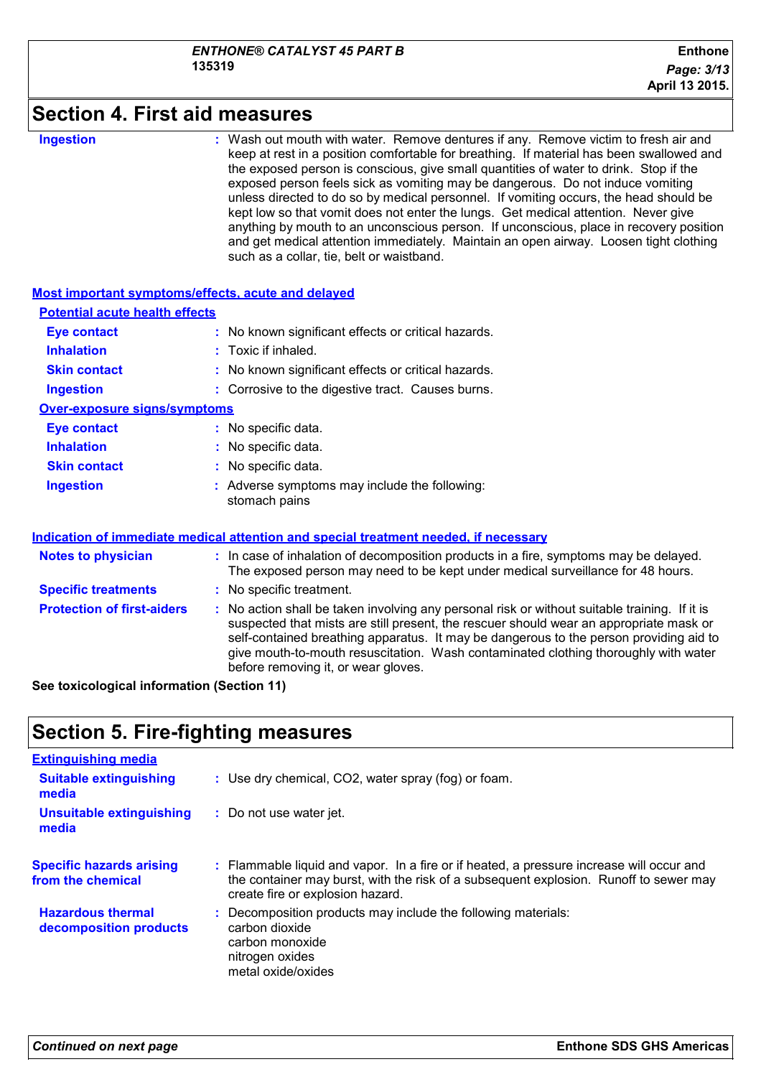### **Section 4. First aid measures**

#### **Ingestion :**

Wash out mouth with water. Remove dentures if any. Remove victim to fresh air and keep at rest in a position comfortable for breathing. If material has been swallowed and the exposed person is conscious, give small quantities of water to drink. Stop if the exposed person feels sick as vomiting may be dangerous. Do not induce vomiting unless directed to do so by medical personnel. If vomiting occurs, the head should be kept low so that vomit does not enter the lungs. Get medical attention. Never give anything by mouth to an unconscious person. If unconscious, place in recovery position and get medical attention immediately. Maintain an open airway. Loosen tight clothing such as a collar, tie, belt or waistband.

| <b>Most important symptoms/effects, acute and delayed</b> |                                                                                                                                                                                                                                                                                                                                                                                                                 |  |
|-----------------------------------------------------------|-----------------------------------------------------------------------------------------------------------------------------------------------------------------------------------------------------------------------------------------------------------------------------------------------------------------------------------------------------------------------------------------------------------------|--|
| <b>Potential acute health effects</b>                     |                                                                                                                                                                                                                                                                                                                                                                                                                 |  |
| <b>Eye contact</b>                                        | : No known significant effects or critical hazards.                                                                                                                                                                                                                                                                                                                                                             |  |
| <b>Inhalation</b>                                         | $:$ Toxic if inhaled.                                                                                                                                                                                                                                                                                                                                                                                           |  |
| <b>Skin contact</b>                                       | : No known significant effects or critical hazards.                                                                                                                                                                                                                                                                                                                                                             |  |
| <b>Ingestion</b>                                          | : Corrosive to the digestive tract. Causes burns.                                                                                                                                                                                                                                                                                                                                                               |  |
| Over-exposure signs/symptoms                              |                                                                                                                                                                                                                                                                                                                                                                                                                 |  |
| <b>Eye contact</b>                                        | : No specific data.                                                                                                                                                                                                                                                                                                                                                                                             |  |
| <b>Inhalation</b>                                         | : No specific data.                                                                                                                                                                                                                                                                                                                                                                                             |  |
| <b>Skin contact</b>                                       | : No specific data.                                                                                                                                                                                                                                                                                                                                                                                             |  |
| <b>Ingestion</b>                                          | Adverse symptoms may include the following:<br>stomach pains                                                                                                                                                                                                                                                                                                                                                    |  |
|                                                           | Indication of immediate medical attention and special treatment needed, if necessary                                                                                                                                                                                                                                                                                                                            |  |
| <b>Notes to physician</b>                                 | : In case of inhalation of decomposition products in a fire, symptoms may be delayed.<br>The exposed person may need to be kept under medical surveillance for 48 hours.                                                                                                                                                                                                                                        |  |
| <b>Specific treatments</b>                                | : No specific treatment.                                                                                                                                                                                                                                                                                                                                                                                        |  |
| <b>Protection of first-aiders</b>                         | : No action shall be taken involving any personal risk or without suitable training. If it is<br>suspected that mists are still present, the rescuer should wear an appropriate mask or<br>self-contained breathing apparatus. It may be dangerous to the person providing aid to<br>give mouth-to-mouth resuscitation. Wash contaminated clothing thoroughly with water<br>before removing it, or wear gloves. |  |

**See toxicological information (Section 11)**

### **Section 5. Fire-fighting measures**

| <b>Extinguishing media</b>                           |                                                                                                                                                                                                                       |
|------------------------------------------------------|-----------------------------------------------------------------------------------------------------------------------------------------------------------------------------------------------------------------------|
| <b>Suitable extinguishing</b><br>media               | : Use dry chemical, CO2, water spray (fog) or foam.                                                                                                                                                                   |
| <b>Unsuitable extinguishing</b><br>media             | : Do not use water jet.                                                                                                                                                                                               |
| <b>Specific hazards arising</b><br>from the chemical | : Flammable liquid and vapor. In a fire or if heated, a pressure increase will occur and<br>the container may burst, with the risk of a subsequent explosion. Runoff to sewer may<br>create fire or explosion hazard. |
| <b>Hazardous thermal</b><br>decomposition products   | : Decomposition products may include the following materials:<br>carbon dioxide<br>carbon monoxide<br>nitrogen oxides<br>metal oxide/oxides                                                                           |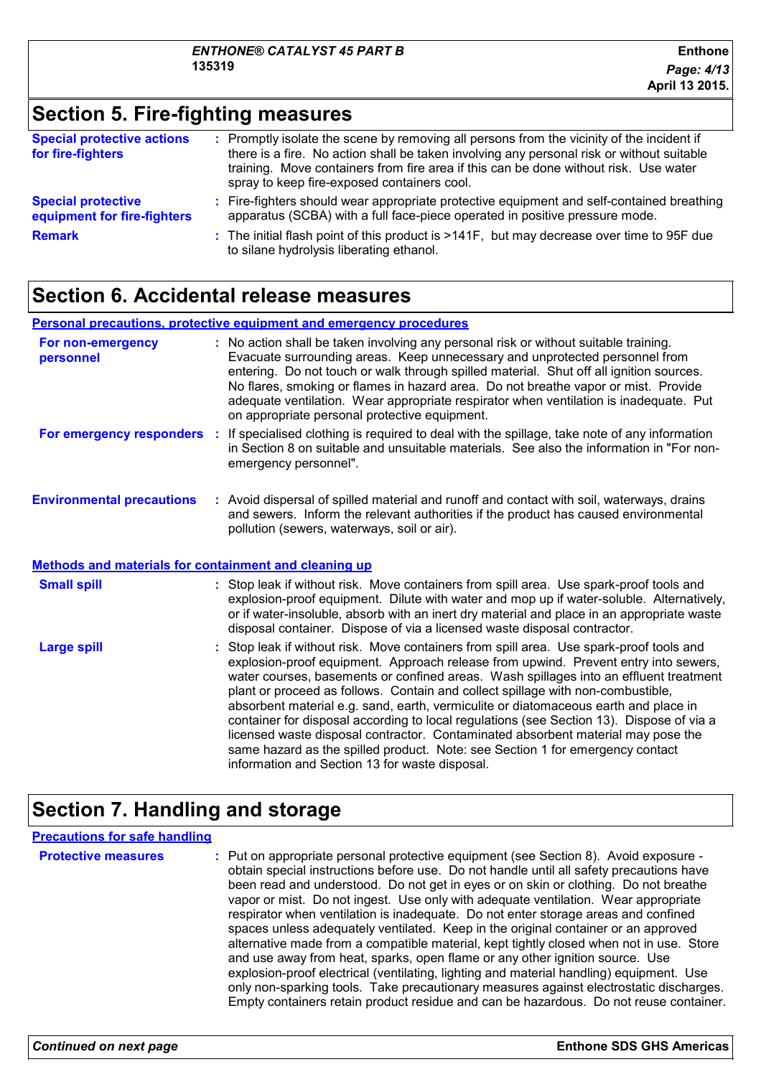### **Section 5. Fire-fighting measures**

| <b>Special protective actions</b><br>for fire-fighters   | : Promptly isolate the scene by removing all persons from the vicinity of the incident if<br>there is a fire. No action shall be taken involving any personal risk or without suitable<br>training. Move containers from fire area if this can be done without risk. Use water<br>spray to keep fire-exposed containers cool. |
|----------------------------------------------------------|-------------------------------------------------------------------------------------------------------------------------------------------------------------------------------------------------------------------------------------------------------------------------------------------------------------------------------|
| <b>Special protective</b><br>equipment for fire-fighters | : Fire-fighters should wear appropriate protective equipment and self-contained breathing<br>apparatus (SCBA) with a full face-piece operated in positive pressure mode.                                                                                                                                                      |
| <b>Remark</b>                                            | : The initial flash point of this product is >141F, but may decrease over time to 95F due<br>to silane hydrolysis liberating ethanol.                                                                                                                                                                                         |

### **Section 6. Accidental release measures**

**Personal precautions, protective equipment and emergency procedures**

| For non-emergency<br>personnel   | : No action shall be taken involving any personal risk or without suitable training.<br>Evacuate surrounding areas. Keep unnecessary and unprotected personnel from<br>entering. Do not touch or walk through spilled material. Shut off all ignition sources.<br>No flares, smoking or flames in hazard area. Do not breathe vapor or mist. Provide<br>adequate ventilation. Wear appropriate respirator when ventilation is inadequate. Put<br>on appropriate personal protective equipment. |
|----------------------------------|------------------------------------------------------------------------------------------------------------------------------------------------------------------------------------------------------------------------------------------------------------------------------------------------------------------------------------------------------------------------------------------------------------------------------------------------------------------------------------------------|
| For emergency responders :       | If specialised clothing is required to deal with the spillage, take note of any information<br>in Section 8 on suitable and unsuitable materials. See also the information in "For non-<br>emergency personnel".                                                                                                                                                                                                                                                                               |
| <b>Environmental precautions</b> | : Avoid dispersal of spilled material and runoff and contact with soil, waterways, drains<br>and sewers. Inform the relevant authorities if the product has caused environmental<br>pollution (sewers, waterways, soil or air).                                                                                                                                                                                                                                                                |

#### **Methods and materials for containment and cleaning up**

| <b>Small spill</b> | : Stop leak if without risk. Move containers from spill area. Use spark-proof tools and<br>explosion-proof equipment. Dilute with water and mop up if water-soluble. Alternatively,<br>or if water-insoluble, absorb with an inert dry material and place in an appropriate waste<br>disposal container. Dispose of via a licensed waste disposal contractor.                                                                                                                                                                                                                                                                                                                                                                                                        |
|--------------------|----------------------------------------------------------------------------------------------------------------------------------------------------------------------------------------------------------------------------------------------------------------------------------------------------------------------------------------------------------------------------------------------------------------------------------------------------------------------------------------------------------------------------------------------------------------------------------------------------------------------------------------------------------------------------------------------------------------------------------------------------------------------|
| <b>Large spill</b> | : Stop leak if without risk. Move containers from spill area. Use spark-proof tools and<br>explosion-proof equipment. Approach release from upwind. Prevent entry into sewers,<br>water courses, basements or confined areas. Wash spillages into an effluent treatment<br>plant or proceed as follows. Contain and collect spillage with non-combustible,<br>absorbent material e.g. sand, earth, vermiculite or diatomaceous earth and place in<br>container for disposal according to local regulations (see Section 13). Dispose of via a<br>licensed waste disposal contractor. Contaminated absorbent material may pose the<br>same hazard as the spilled product. Note: see Section 1 for emergency contact<br>information and Section 13 for waste disposal. |

## **Section 7. Handling and storage**

#### **Precautions for safe handling**

**Protective measures** : Put on appropriate personal protective equipment (see Section 8). Avoid exposure obtain special instructions before use. Do not handle until all safety precautions have been read and understood. Do not get in eyes or on skin or clothing. Do not breathe vapor or mist. Do not ingest. Use only with adequate ventilation. Wear appropriate respirator when ventilation is inadequate. Do not enter storage areas and confined spaces unless adequately ventilated. Keep in the original container or an approved alternative made from a compatible material, kept tightly closed when not in use. Store and use away from heat, sparks, open flame or any other ignition source. Use explosion-proof electrical (ventilating, lighting and material handling) equipment. Use only non-sparking tools. Take precautionary measures against electrostatic discharges. Empty containers retain product residue and can be hazardous. Do not reuse container.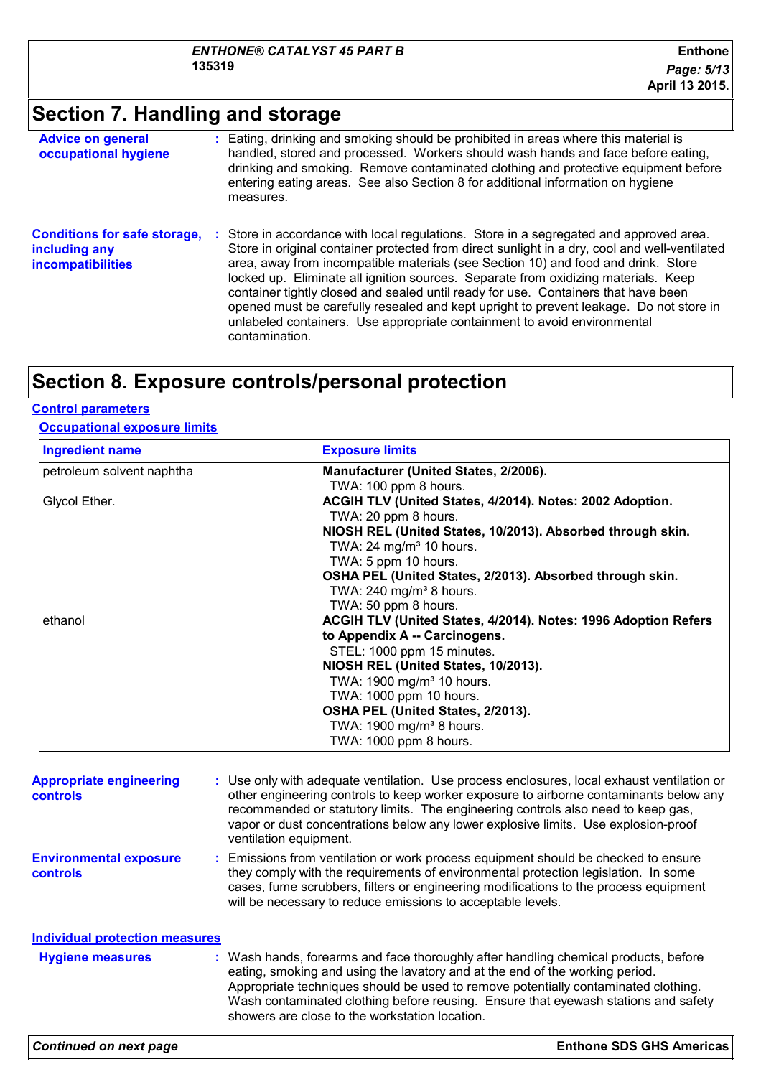## **Section 7. Handling and storage**

| <b>Advice on general</b><br>occupational hygiene                                 | : Eating, drinking and smoking should be prohibited in areas where this material is<br>handled, stored and processed. Workers should wash hands and face before eating,<br>drinking and smoking. Remove contaminated clothing and protective equipment before<br>entering eating areas. See also Section 8 for additional information on hygiene<br>measures.                                                                                                                                                                                                                                                                                    |
|----------------------------------------------------------------------------------|--------------------------------------------------------------------------------------------------------------------------------------------------------------------------------------------------------------------------------------------------------------------------------------------------------------------------------------------------------------------------------------------------------------------------------------------------------------------------------------------------------------------------------------------------------------------------------------------------------------------------------------------------|
| <b>Conditions for safe storage,</b><br>including any<br><b>incompatibilities</b> | : Store in accordance with local regulations. Store in a segregated and approved area.<br>Store in original container protected from direct sunlight in a dry, cool and well-ventilated<br>area, away from incompatible materials (see Section 10) and food and drink. Store<br>locked up. Eliminate all ignition sources. Separate from oxidizing materials. Keep<br>container tightly closed and sealed until ready for use. Containers that have been<br>opened must be carefully resealed and kept upright to prevent leakage. Do not store in<br>unlabeled containers. Use appropriate containment to avoid environmental<br>contamination. |

## **Section 8. Exposure controls/personal protection**

#### **Control parameters**

#### **Occupational exposure limits**

| <b>Ingredient name</b>    | <b>Exposure limits</b>                                         |
|---------------------------|----------------------------------------------------------------|
| petroleum solvent naphtha | Manufacturer (United States, 2/2006).                          |
|                           | TWA: 100 ppm 8 hours.                                          |
| Glycol Ether.             | ACGIH TLV (United States, 4/2014). Notes: 2002 Adoption.       |
|                           | TWA: 20 ppm 8 hours.                                           |
|                           | NIOSH REL (United States, 10/2013). Absorbed through skin.     |
|                           | TWA: $24 \text{ mg/m}^3$ 10 hours.                             |
|                           | TWA: 5 ppm 10 hours.                                           |
|                           | OSHA PEL (United States, 2/2013). Absorbed through skin.       |
|                           | TWA: 240 mg/m <sup>3</sup> 8 hours.                            |
|                           | TWA: 50 ppm 8 hours.                                           |
| ethanol                   | ACGIH TLV (United States, 4/2014). Notes: 1996 Adoption Refers |
|                           | to Appendix A -- Carcinogens.                                  |
|                           | STEL: 1000 ppm 15 minutes.                                     |
|                           | NIOSH REL (United States, 10/2013).                            |
|                           | TWA: 1900 mg/m <sup>3</sup> 10 hours.                          |
|                           | TWA: 1000 ppm 10 hours.                                        |
|                           | OSHA PEL (United States, 2/2013).                              |
|                           | TWA: 1900 mg/m <sup>3</sup> 8 hours.                           |
|                           | TWA: 1000 ppm 8 hours.                                         |

| <b>Appropriate engineering</b><br><b>controls</b> | : Use only with adequate ventilation. Use process enclosures, local exhaust ventilation or<br>other engineering controls to keep worker exposure to airborne contaminants below any<br>recommended or statutory limits. The engineering controls also need to keep gas,<br>vapor or dust concentrations below any lower explosive limits. Use explosion-proof<br>ventilation equipment.           |
|---------------------------------------------------|---------------------------------------------------------------------------------------------------------------------------------------------------------------------------------------------------------------------------------------------------------------------------------------------------------------------------------------------------------------------------------------------------|
| <b>Environmental exposure</b><br><b>controls</b>  | : Emissions from ventilation or work process equipment should be checked to ensure<br>they comply with the requirements of environmental protection legislation. In some<br>cases, fume scrubbers, filters or engineering modifications to the process equipment<br>will be necessary to reduce emissions to acceptable levels.                                                                   |
| <b>Individual protection measures</b>             |                                                                                                                                                                                                                                                                                                                                                                                                   |
| <b>Hygiene measures</b>                           | : Wash hands, forearms and face thoroughly after handling chemical products, before<br>eating, smoking and using the lavatory and at the end of the working period.<br>Appropriate techniques should be used to remove potentially contaminated clothing.<br>Wash contaminated clothing before reusing. Ensure that eyewash stations and safety<br>showers are close to the workstation location. |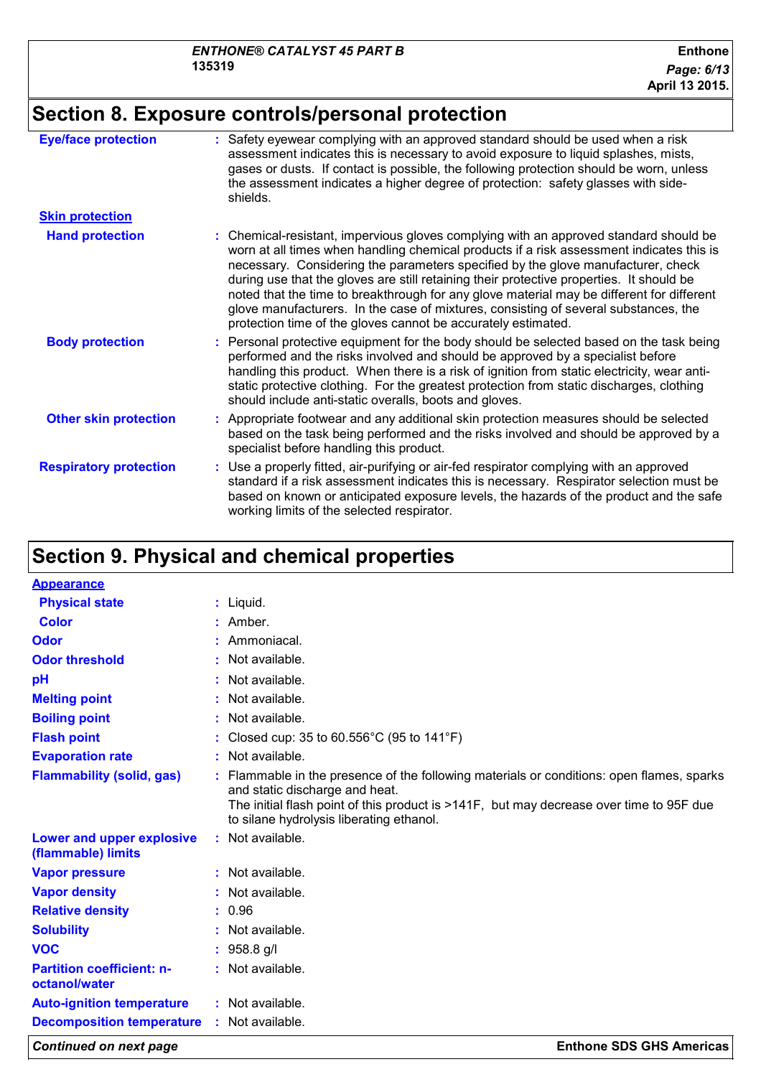## **Section 8. Exposure controls/personal protection**

| <b>Eye/face protection</b>    | : Safety eyewear complying with an approved standard should be used when a risk<br>assessment indicates this is necessary to avoid exposure to liquid splashes, mists,<br>gases or dusts. If contact is possible, the following protection should be worn, unless<br>the assessment indicates a higher degree of protection: safety glasses with side-<br>shields.                                                                                                                                                                                                                                                     |
|-------------------------------|------------------------------------------------------------------------------------------------------------------------------------------------------------------------------------------------------------------------------------------------------------------------------------------------------------------------------------------------------------------------------------------------------------------------------------------------------------------------------------------------------------------------------------------------------------------------------------------------------------------------|
| <b>Skin protection</b>        |                                                                                                                                                                                                                                                                                                                                                                                                                                                                                                                                                                                                                        |
| <b>Hand protection</b>        | : Chemical-resistant, impervious gloves complying with an approved standard should be<br>worn at all times when handling chemical products if a risk assessment indicates this is<br>necessary. Considering the parameters specified by the glove manufacturer, check<br>during use that the gloves are still retaining their protective properties. It should be<br>noted that the time to breakthrough for any glove material may be different for different<br>glove manufacturers. In the case of mixtures, consisting of several substances, the<br>protection time of the gloves cannot be accurately estimated. |
| <b>Body protection</b>        | : Personal protective equipment for the body should be selected based on the task being<br>performed and the risks involved and should be approved by a specialist before<br>handling this product. When there is a risk of ignition from static electricity, wear anti-<br>static protective clothing. For the greatest protection from static discharges, clothing<br>should include anti-static overalls, boots and gloves.                                                                                                                                                                                         |
| <b>Other skin protection</b>  | : Appropriate footwear and any additional skin protection measures should be selected<br>based on the task being performed and the risks involved and should be approved by a<br>specialist before handling this product.                                                                                                                                                                                                                                                                                                                                                                                              |
| <b>Respiratory protection</b> | : Use a properly fitted, air-purifying or air-fed respirator complying with an approved<br>standard if a risk assessment indicates this is necessary. Respirator selection must be<br>based on known or anticipated exposure levels, the hazards of the product and the safe<br>working limits of the selected respirator.                                                                                                                                                                                                                                                                                             |

## **Section 9. Physical and chemical properties**

| <b>Appearance</b>                                 |                                                                                                                                                                                                                                                                  |
|---------------------------------------------------|------------------------------------------------------------------------------------------------------------------------------------------------------------------------------------------------------------------------------------------------------------------|
| <b>Physical state</b>                             | $:$ Liquid.                                                                                                                                                                                                                                                      |
| Color                                             | $:$ Amber.                                                                                                                                                                                                                                                       |
| <b>Odor</b>                                       | $:$ Ammoniacal.                                                                                                                                                                                                                                                  |
| <b>Odor threshold</b>                             | : Not available.                                                                                                                                                                                                                                                 |
| pH                                                | : Not available.                                                                                                                                                                                                                                                 |
| <b>Melting point</b>                              | : Not available.                                                                                                                                                                                                                                                 |
| <b>Boiling point</b>                              | Not available.                                                                                                                                                                                                                                                   |
| <b>Flash point</b>                                | Closed cup: 35 to $60.556^{\circ}$ C (95 to 141 $^{\circ}$ F)                                                                                                                                                                                                    |
| <b>Evaporation rate</b>                           | Not available.                                                                                                                                                                                                                                                   |
| <b>Flammability (solid, gas)</b>                  | Flammable in the presence of the following materials or conditions: open flames, sparks<br>and static discharge and heat.<br>The initial flash point of this product is >141F, but may decrease over time to 95F due<br>to silane hydrolysis liberating ethanol. |
| Lower and upper explosive<br>(flammable) limits   | : Not available.                                                                                                                                                                                                                                                 |
| <b>Vapor pressure</b>                             | : Not available.                                                                                                                                                                                                                                                 |
| <b>Vapor density</b>                              | : Not available.                                                                                                                                                                                                                                                 |
| <b>Relative density</b>                           | : 0.96                                                                                                                                                                                                                                                           |
| <b>Solubility</b>                                 | : Not available.                                                                                                                                                                                                                                                 |
| <b>VOC</b>                                        | $: 958.8$ g/l                                                                                                                                                                                                                                                    |
| <b>Partition coefficient: n-</b><br>octanol/water | : Not available.                                                                                                                                                                                                                                                 |
| <b>Auto-ignition temperature</b>                  | : Not available.                                                                                                                                                                                                                                                 |
| <b>Decomposition temperature</b>                  | : Not available.                                                                                                                                                                                                                                                 |
| <b>Continued on next page</b>                     | <b>Enthone SDS GHS Americas</b>                                                                                                                                                                                                                                  |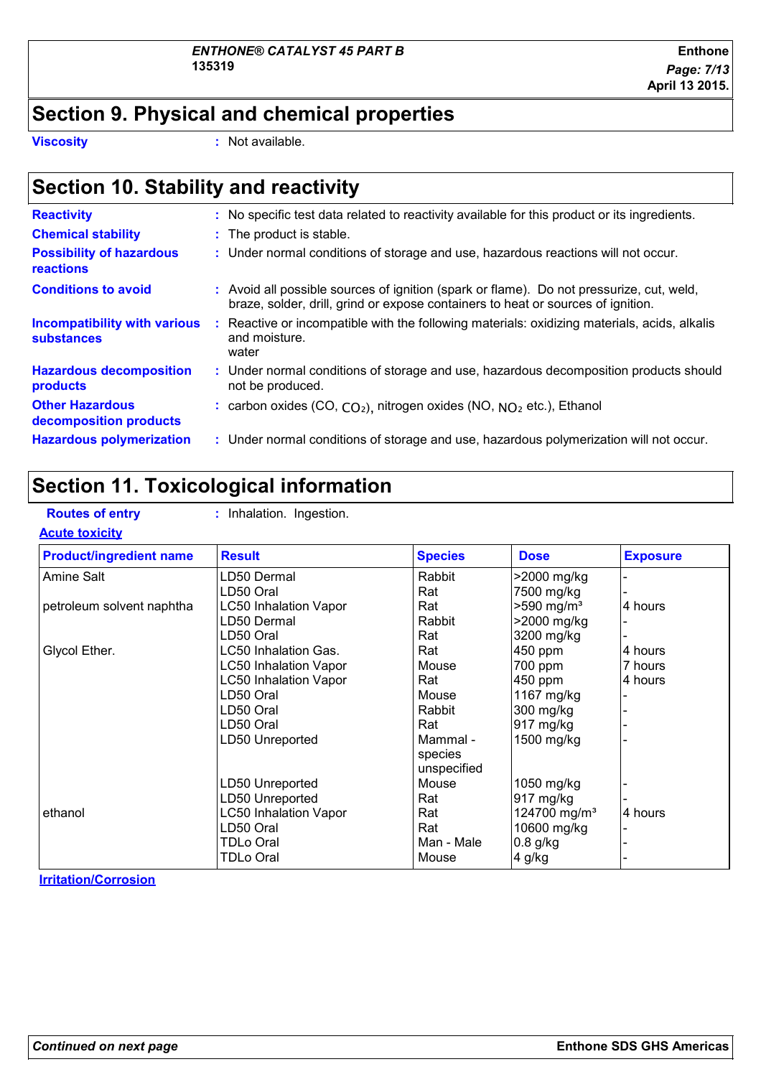## **Section 9. Physical and chemical properties**

**Viscosity :** Not available.

## **Section 10. Stability and reactivity**

| <b>Reactivity</b>                                        | : No specific test data related to reactivity available for this product or its ingredients.                                                                                 |
|----------------------------------------------------------|------------------------------------------------------------------------------------------------------------------------------------------------------------------------------|
| <b>Chemical stability</b>                                | : The product is stable.                                                                                                                                                     |
| <b>Possibility of hazardous</b><br><b>reactions</b>      | : Under normal conditions of storage and use, hazardous reactions will not occur.                                                                                            |
| <b>Conditions to avoid</b>                               | : Avoid all possible sources of ignition (spark or flame). Do not pressurize, cut, weld,<br>braze, solder, drill, grind or expose containers to heat or sources of ignition. |
| <b>Incompatibility with various</b><br><b>substances</b> | Reactive or incompatible with the following materials: oxidizing materials, acids, alkalis<br>and moisture.<br>water                                                         |
| <b>Hazardous decomposition</b><br>products               | : Under normal conditions of storage and use, hazardous decomposition products should<br>not be produced.                                                                    |
| <b>Other Hazardous</b><br>decomposition products         | : carbon oxides (CO, $CO2$ ), nitrogen oxides (NO, $NO2$ etc.), Ethanol                                                                                                      |
| <b>Hazardous polymerization</b>                          | : Under normal conditions of storage and use, hazardous polymerization will not occur.                                                                                       |

## **Section 11. Toxicological information**

| <b>Routes of entr</b> |  |  |
|-----------------------|--|--|
| <b>Acute toxicity</b> |  |  |

**ry :** Inhalation. Ingestion.

| <b>Product/ingredient name</b> | <b>Result</b>                | <b>Species</b> | <b>Dose</b>              | <b>Exposure</b> |
|--------------------------------|------------------------------|----------------|--------------------------|-----------------|
| Amine Salt                     | LD50 Dermal                  | Rabbit         | >2000 mg/kg              |                 |
|                                | LD50 Oral                    | Rat            | 7500 mg/kg               |                 |
| petroleum solvent naphtha      | <b>LC50 Inhalation Vapor</b> | Rat            | $>590$ mg/m <sup>3</sup> | 4 hours         |
|                                | LD50 Dermal                  | Rabbit         | >2000 mg/kg              |                 |
|                                | LD50 Oral                    | Rat            | 3200 mg/kg               |                 |
| Glycol Ether.                  | LC50 Inhalation Gas.         | Rat            | 450 ppm                  | 4 hours         |
|                                | <b>LC50 Inhalation Vapor</b> | Mouse          | 700 ppm                  | 7 hours         |
|                                | <b>LC50 Inhalation Vapor</b> | Rat            | 450 ppm                  | 4 hours         |
|                                | LD50 Oral                    | Mouse          | 1167 mg/kg               |                 |
|                                | LD50 Oral                    | Rabbit         | 300 mg/kg                |                 |
|                                | LD50 Oral                    | Rat            | 917 mg/kg                |                 |
|                                | LD50 Unreported              | Mammal -       | 1500 mg/kg               |                 |
|                                |                              | species        |                          |                 |
|                                |                              | unspecified    |                          |                 |
|                                | LD50 Unreported              | Mouse          | 1050 mg/kg               |                 |
|                                | LD50 Unreported              | Rat            | 917 mg/kg                |                 |
| ethanol                        | <b>LC50 Inhalation Vapor</b> | Rat            | 124700 mg/m <sup>3</sup> | 4 hours         |
|                                | LD50 Oral                    | Rat            | 10600 mg/kg              |                 |
|                                | TDLo Oral                    | Man - Male     | $0.8$ g/kg               |                 |
|                                | TDLo Oral                    | Mouse          | 4 g/kg                   |                 |

**Irritation/Corrosion**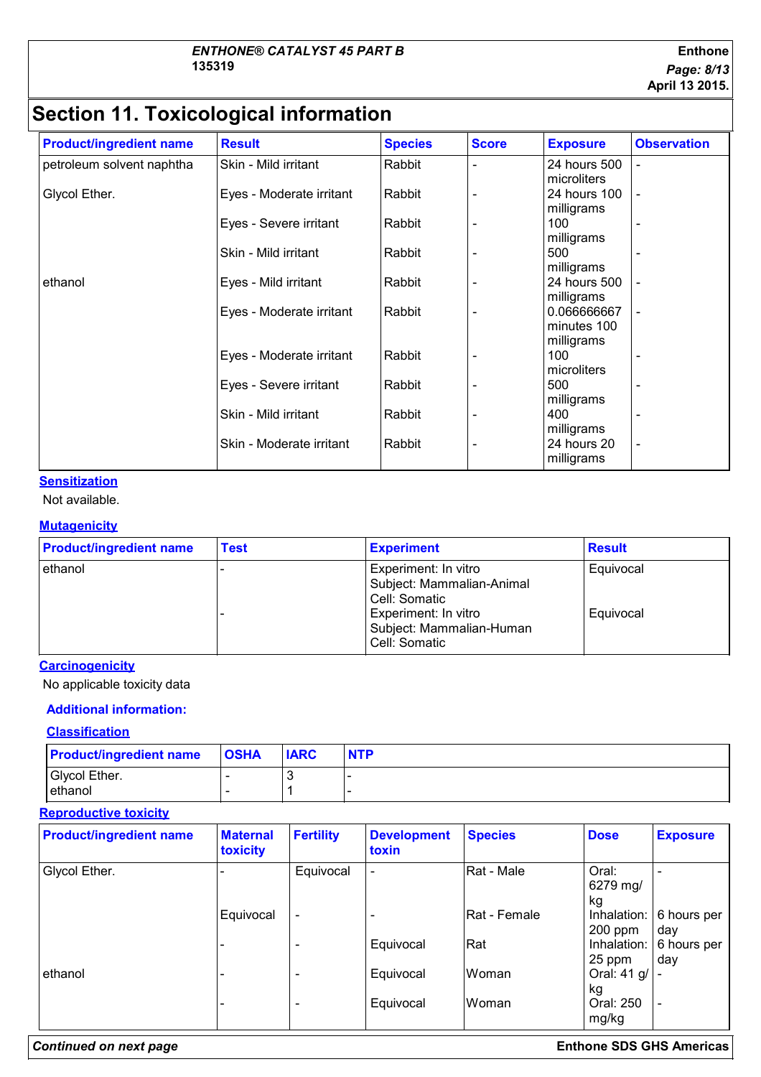# **Section 11. Toxicological information**

| <b>Product/ingredient name</b> | <b>Result</b>            | <b>Species</b> | <b>Score</b> | <b>Exposure</b>    | <b>Observation</b>       |
|--------------------------------|--------------------------|----------------|--------------|--------------------|--------------------------|
| petroleum solvent naphtha      | Skin - Mild irritant     | Rabbit         |              | 24 hours 500       | $\blacksquare$           |
|                                |                          |                |              | microliters        |                          |
| Glycol Ether.                  | Eyes - Moderate irritant | Rabbit         |              | 24 hours 100       | $\overline{\phantom{a}}$ |
|                                | Eyes - Severe irritant   | Rabbit         |              | milligrams<br>100  |                          |
|                                |                          |                |              | milligrams         |                          |
|                                | Skin - Mild irritant     | Rabbit         |              | 500                | $\overline{\phantom{0}}$ |
|                                |                          |                |              | milligrams         |                          |
| ethanol                        | Eyes - Mild irritant     | Rabbit         |              | 24 hours 500       |                          |
|                                |                          |                |              | milligrams         |                          |
|                                | Eyes - Moderate irritant | Rabbit         |              | 0.066666667        | $\overline{\phantom{a}}$ |
|                                |                          |                |              | minutes 100        |                          |
|                                |                          |                |              | milligrams         |                          |
|                                | Eyes - Moderate irritant | Rabbit         |              | 100<br>microliters |                          |
|                                | Eyes - Severe irritant   | Rabbit         |              | 500                | ٠                        |
|                                |                          |                |              | milligrams         |                          |
|                                | Skin - Mild irritant     | Rabbit         |              | 400                | ٠                        |
|                                |                          |                |              | milligrams         |                          |
|                                | Skin - Moderate irritant | Rabbit         |              | 24 hours 20        | $\blacksquare$           |
|                                |                          |                |              | milligrams         |                          |

#### **Sensitization**

Not available.

#### **Mutagenicity**

| <b>Product/ingredient name</b> | <b>Test</b> | <b>Experiment</b>                                                  | <b>Result</b> |
|--------------------------------|-------------|--------------------------------------------------------------------|---------------|
| ethanol                        |             | Experiment: In vitro<br>Subject: Mammalian-Animal<br>Cell: Somatic | Equivocal     |
|                                |             | Experiment: In vitro<br>Subject: Mammalian-Human<br>Cell: Somatic  | Equivocal     |

#### **Carcinogenicity**

No applicable toxicity data

#### **Additional information:**

#### **Classification**

| <b>Product/ingredient name</b> | <b>OSHA</b> | <b>IARC</b> | <b>NTP</b> |
|--------------------------------|-------------|-------------|------------|
| Glycol Ether.<br>ethanol       |             |             |            |

#### **Reproductive toxicity**

| <b>Product/ingredient name</b> | <b>Maternal</b><br>toxicity | <b>Fertility</b>         | <b>Development</b><br>toxin | <b>Species</b> | <b>Dose</b>              | <b>Exposure</b>    |
|--------------------------------|-----------------------------|--------------------------|-----------------------------|----------------|--------------------------|--------------------|
| Glycol Ether.                  |                             | Equivocal                |                             | Rat - Male     | Oral:<br>6279 mg/<br>kg  |                    |
|                                | Equivocal                   | $\overline{\phantom{0}}$ |                             | Rat - Female   | Inhalation:<br>$200$ ppm | 6 hours per<br>day |
|                                |                             |                          | Equivocal                   | Rat            | Inhalation:<br>25 ppm    | 6 hours per<br>day |
| ethanol                        |                             |                          | Equivocal                   | Woman          | Oral: 41 g/<br>kg        |                    |
|                                |                             |                          | Equivocal                   | Woman          | Oral: 250<br>mg/kg       |                    |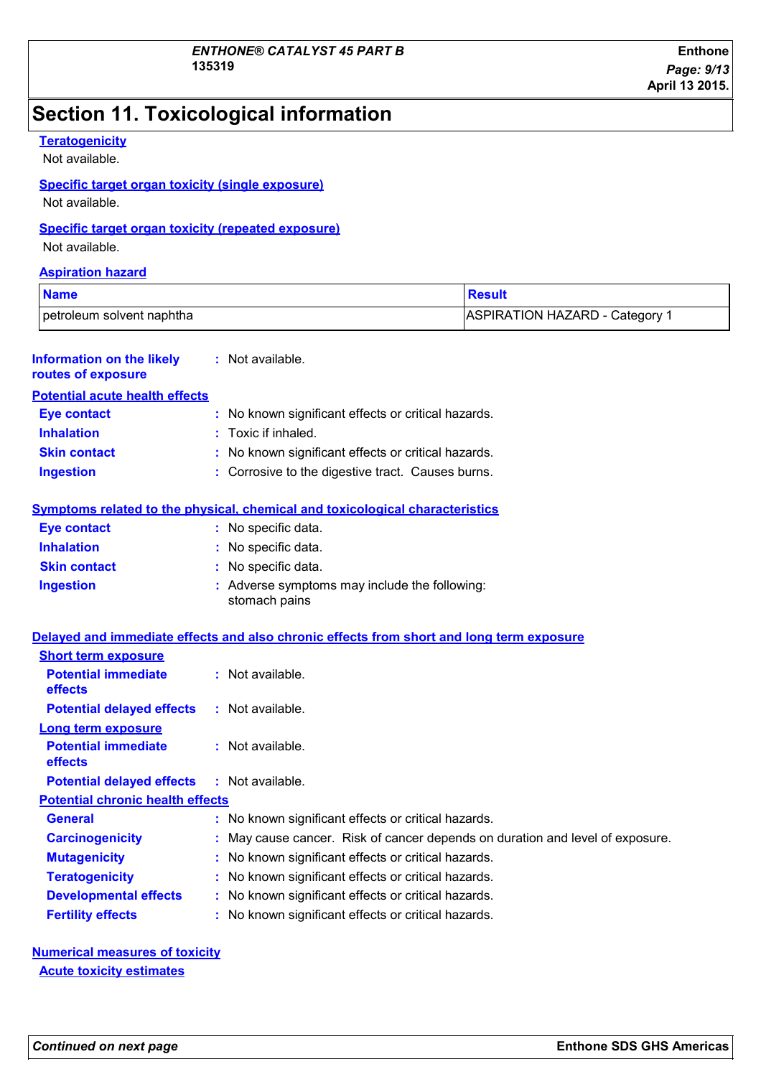## **Section 11. Toxicological information**

#### **Teratogenicity**

Not available.

#### **Specific target organ toxicity (single exposure)**

Not available.

#### **Specific target organ toxicity (repeated exposure)**

Not available.

#### **Aspiration hazard**

| <b>Name</b>                                            |                                         |                                                                                          | <b>Result</b>                         |  |  |  |
|--------------------------------------------------------|-----------------------------------------|------------------------------------------------------------------------------------------|---------------------------------------|--|--|--|
|                                                        | petroleum solvent naphtha               |                                                                                          | <b>ASPIRATION HAZARD - Category 1</b> |  |  |  |
| <b>Information on the likely</b><br>routes of exposure |                                         | $:$ Not available.                                                                       |                                       |  |  |  |
|                                                        | <b>Potential acute health effects</b>   |                                                                                          |                                       |  |  |  |
| <b>Eye contact</b>                                     |                                         | : No known significant effects or critical hazards.                                      |                                       |  |  |  |
| <b>Inhalation</b>                                      |                                         | Toxic if inhaled.                                                                        |                                       |  |  |  |
| <b>Skin contact</b>                                    |                                         | No known significant effects or critical hazards.                                        |                                       |  |  |  |
| <b>Ingestion</b>                                       |                                         | : Corrosive to the digestive tract. Causes burns.                                        |                                       |  |  |  |
|                                                        |                                         | <b>Symptoms related to the physical, chemical and toxicological characteristics</b>      |                                       |  |  |  |
| <b>Eye contact</b>                                     |                                         | : No specific data.                                                                      |                                       |  |  |  |
| <b>Inhalation</b>                                      |                                         | : No specific data.                                                                      |                                       |  |  |  |
| <b>Skin contact</b>                                    |                                         | : No specific data.                                                                      |                                       |  |  |  |
| <b>Ingestion</b>                                       |                                         | : Adverse symptoms may include the following:<br>stomach pains                           |                                       |  |  |  |
|                                                        |                                         | Delayed and immediate effects and also chronic effects from short and long term exposure |                                       |  |  |  |
| <b>Short term exposure</b>                             |                                         |                                                                                          |                                       |  |  |  |
| <b>Potential immediate</b><br>effects                  |                                         | : Not available.                                                                         |                                       |  |  |  |
|                                                        | <b>Potential delayed effects</b>        | $:$ Not available.                                                                       |                                       |  |  |  |
| <b>Long term exposure</b>                              |                                         |                                                                                          |                                       |  |  |  |
| <b>Potential immediate</b><br>effects                  |                                         | : Not available.                                                                         |                                       |  |  |  |
|                                                        | <b>Potential delayed effects</b>        | $:$ Not available.                                                                       |                                       |  |  |  |
|                                                        | <b>Potential chronic health effects</b> |                                                                                          |                                       |  |  |  |
| <b>General</b>                                         |                                         | : No known significant effects or critical hazards.                                      |                                       |  |  |  |
| <b>Carcinogenicity</b>                                 |                                         | : May cause cancer. Risk of cancer depends on duration and level of exposure.            |                                       |  |  |  |
| <b>Mutagenicity</b>                                    |                                         | : No known significant effects or critical hazards.                                      |                                       |  |  |  |
| <b>Teratogenicity</b>                                  |                                         | : No known significant effects or critical hazards.                                      |                                       |  |  |  |
| <b>Developmental effects</b>                           |                                         | : No known significant effects or critical hazards.                                      |                                       |  |  |  |
| <b>Fertility effects</b>                               |                                         | : No known significant effects or critical hazards.                                      |                                       |  |  |  |
|                                                        |                                         |                                                                                          |                                       |  |  |  |

#### **Numerical measures of toxicity Acute toxicity estimates**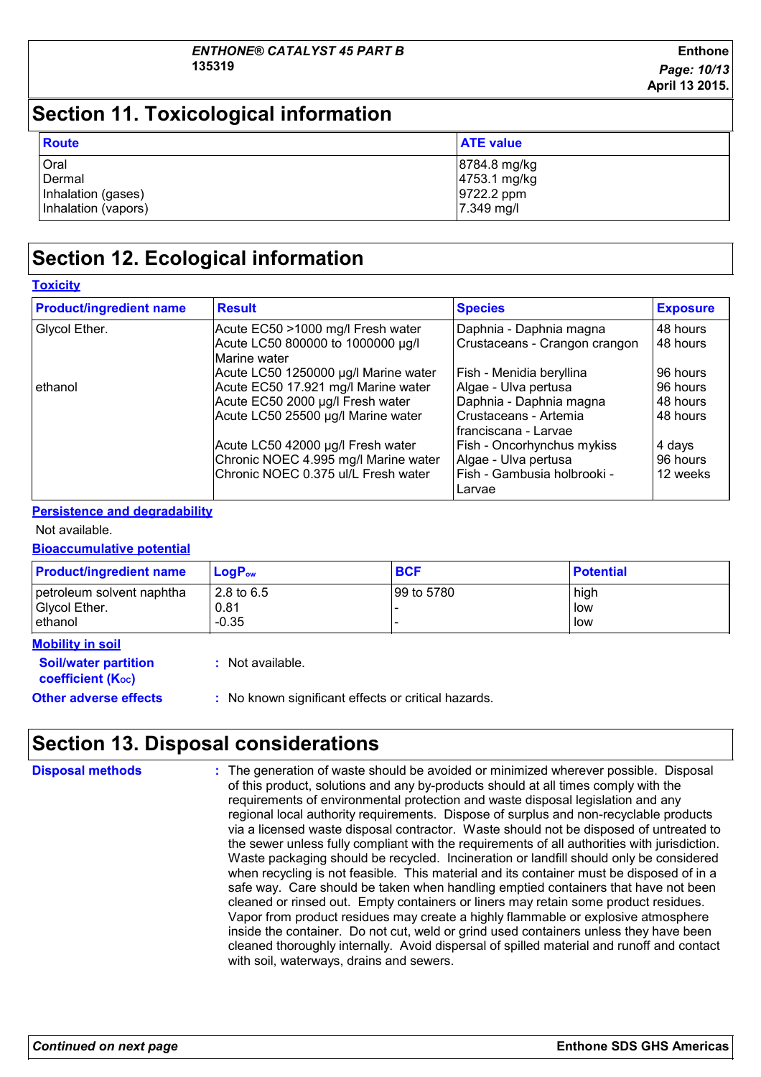## **Section 11. Toxicological information**

| <b>Route</b>        | <b>ATE value</b> |
|---------------------|------------------|
| Oral                | 8784.8 mg/kg     |
| Dermal              | 4753.1 mg/kg     |
| Inhalation (gases)  | 9722.2 ppm       |
| Inhalation (vapors) | 7.349 mg/l       |

### **Section 12. Ecological information**

**Toxicity**

| <b>Product/ingredient name</b> | <b>Result</b>                                     | <b>Species</b>                                  | <b>Exposure</b> |
|--------------------------------|---------------------------------------------------|-------------------------------------------------|-----------------|
| Glycol Ether.                  | Acute EC50 >1000 mg/l Fresh water                 | Daphnia - Daphnia magna                         | 48 hours        |
|                                | Acute LC50 800000 to 1000000 µg/l<br>Marine water | Crustaceans - Crangon crangon                   | 48 hours        |
|                                | Acute LC50 1250000 µg/l Marine water              | Fish - Menidia beryllina                        | 96 hours        |
| ethanol                        | Acute EC50 17.921 mg/l Marine water               | Algae - Ulva pertusa                            | 96 hours        |
|                                | Acute EC50 2000 µg/l Fresh water                  | Daphnia - Daphnia magna                         | 48 hours        |
|                                | Acute LC50 25500 µg/l Marine water                | Crustaceans - Artemia<br>I franciscana - Larvae | 48 hours        |
|                                | Acute LC50 42000 µg/l Fresh water                 | Fish - Oncorhynchus mykiss                      | 4 days          |
|                                | Chronic NOEC 4.995 mg/l Marine water              | Algae - Ulva pertusa                            | 96 hours        |
|                                | Chronic NOEC 0.375 ul/L Fresh water               | Fish - Gambusia holbrooki -<br>Larvae           | 12 weeks        |

#### **Persistence and degradability**

Not available.

#### **Bioaccumulative potential**

| <b>Product/ingredient name</b>                          | ∣ LoqP <sub>ow</sub>          | <b>BCF</b> | <b>Potential</b>   |
|---------------------------------------------------------|-------------------------------|------------|--------------------|
| petroleum solvent naphtha<br>Glycol Ether.<br>l ethanol | 2.8 to 6.5<br>0.81<br>$-0.35$ | 99 to 5780 | high<br>low<br>low |
| <b>Mobility in soil</b>                                 |                               |            |                    |

| <b>INIODIIILY III SUII</b>                                    |                                                     |
|---------------------------------------------------------------|-----------------------------------------------------|
| <b>Soil/water partition</b><br>coefficient (K <sub>oc</sub> ) | : Not available.                                    |
| <b>Other adverse effects</b>                                  | : No known significant effects or critical hazards. |

### **Section 13. Disposal considerations**

The generation of waste should be avoided or minimized wherever possible. Disposal of this product, solutions and any by-products should at all times comply with the requirements of environmental protection and waste disposal legislation and any regional local authority requirements. Dispose of surplus and non-recyclable products via a licensed waste disposal contractor. Waste should not be disposed of untreated to the sewer unless fully compliant with the requirements of all authorities with jurisdiction. Waste packaging should be recycled. Incineration or landfill should only be considered when recycling is not feasible. This material and its container must be disposed of in a safe way. Care should be taken when handling emptied containers that have not been cleaned or rinsed out. Empty containers or liners may retain some product residues. Vapor from product residues may create a highly flammable or explosive atmosphere inside the container. Do not cut, weld or grind used containers unless they have been cleaned thoroughly internally. Avoid dispersal of spilled material and runoff and contact with soil, waterways, drains and sewers. **Disposal methods :**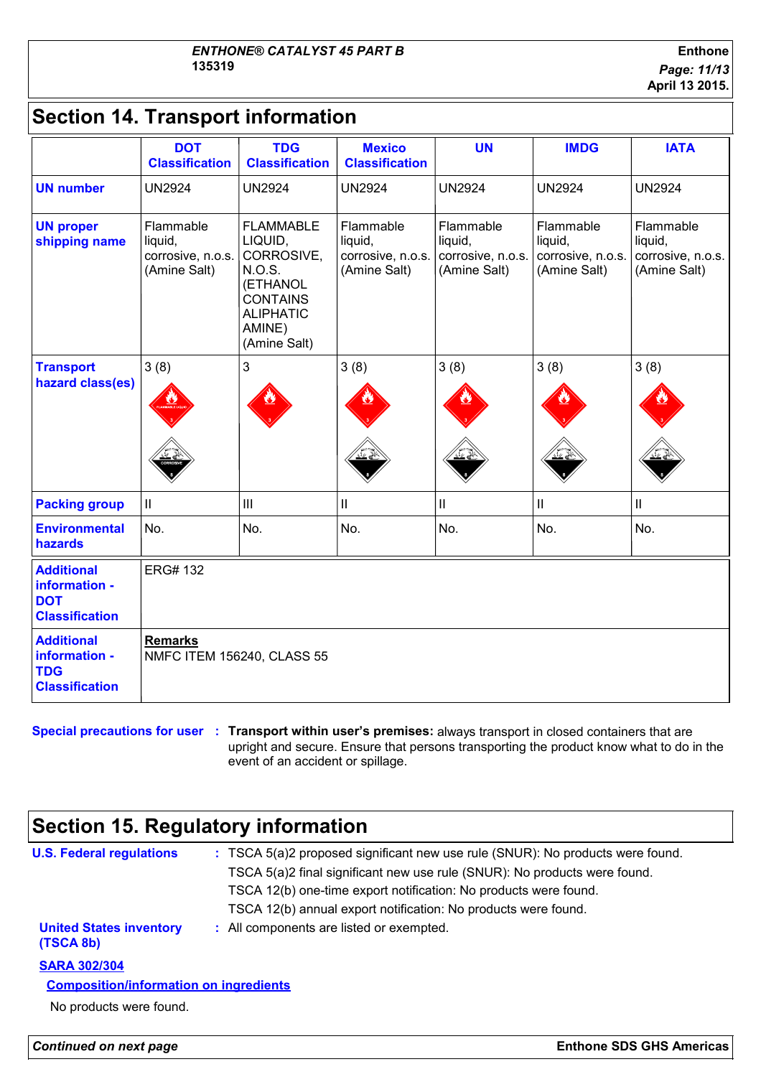**Enthone** *Page: 11/13* **April 13 2015.**

## **Section 14. Transport information**

|                                                                           | <b>DOT</b><br><b>Classification</b>                       | <b>TDG</b><br><b>Classification</b>                                                                                              | <b>Mexico</b><br><b>Classification</b>                    | <b>UN</b>                                                 | <b>IMDG</b>                                               | <b>IATA</b>                                               |
|---------------------------------------------------------------------------|-----------------------------------------------------------|----------------------------------------------------------------------------------------------------------------------------------|-----------------------------------------------------------|-----------------------------------------------------------|-----------------------------------------------------------|-----------------------------------------------------------|
| <b>UN number</b>                                                          | <b>UN2924</b>                                             | <b>UN2924</b>                                                                                                                    | <b>UN2924</b>                                             | <b>UN2924</b>                                             | <b>UN2924</b>                                             | <b>UN2924</b>                                             |
| <b>UN proper</b><br>shipping name                                         | Flammable<br>liquid,<br>corrosive, n.o.s.<br>(Amine Salt) | <b>FLAMMABLE</b><br>LIQUID,<br>CORROSIVE,<br>N.O.S.<br>(ETHANOL<br><b>CONTAINS</b><br><b>ALIPHATIC</b><br>AMINE)<br>(Amine Salt) | Flammable<br>liquid,<br>corrosive, n.o.s.<br>(Amine Salt) | Flammable<br>liquid,<br>corrosive, n.o.s.<br>(Amine Salt) | Flammable<br>liquid,<br>corrosive, n.o.s.<br>(Amine Salt) | Flammable<br>liquid,<br>corrosive, n.o.s.<br>(Amine Salt) |
| <b>Transport</b><br>hazard class(es)                                      | 3(8)                                                      | 3                                                                                                                                | 3(8)                                                      | 3(8)                                                      | 3(8)                                                      | 3(8)                                                      |
| <b>Packing group</b>                                                      | $\mathsf{II}$                                             | III                                                                                                                              | $\ensuremath{\mathsf{II}}$                                | $\mathbf{II}$                                             | $\ensuremath{\mathsf{II}}$                                | $\ensuremath{\mathsf{II}}$                                |
| <b>Environmental</b><br>hazards                                           | No.                                                       | No.                                                                                                                              | No.                                                       | No.                                                       | No.                                                       | No.                                                       |
| <b>Additional</b><br>information -<br><b>DOT</b><br><b>Classification</b> | <b>ERG#132</b>                                            |                                                                                                                                  |                                                           |                                                           |                                                           |                                                           |
| <b>Additional</b><br>information -<br><b>TDG</b><br><b>Classification</b> | <b>Remarks</b><br>NMFC ITEM 156240, CLASS 55              |                                                                                                                                  |                                                           |                                                           |                                                           |                                                           |

**Special precautions for user Transport within user's premises:** always transport in closed containers that are **:** upright and secure. Ensure that persons transporting the product know what to do in the event of an accident or spillage.

## **Section 15. Regulatory information**

| <b>U.S. Federal regulations</b>                                                                 | : TSCA 5(a)2 proposed significant new use rule (SNUR): No products were found.<br>TSCA 5(a)2 final significant new use rule (SNUR): No products were found.<br>TSCA 12(b) one-time export notification: No products were found.<br>TSCA 12(b) annual export notification: No products were found. |
|-------------------------------------------------------------------------------------------------|---------------------------------------------------------------------------------------------------------------------------------------------------------------------------------------------------------------------------------------------------------------------------------------------------|
| <b>United States inventory</b><br>(TSCA 8b)                                                     | : All components are listed or exempted.                                                                                                                                                                                                                                                          |
| <b>SARA 302/304</b><br><b>Composition/information on ingredients</b><br>No products were found. |                                                                                                                                                                                                                                                                                                   |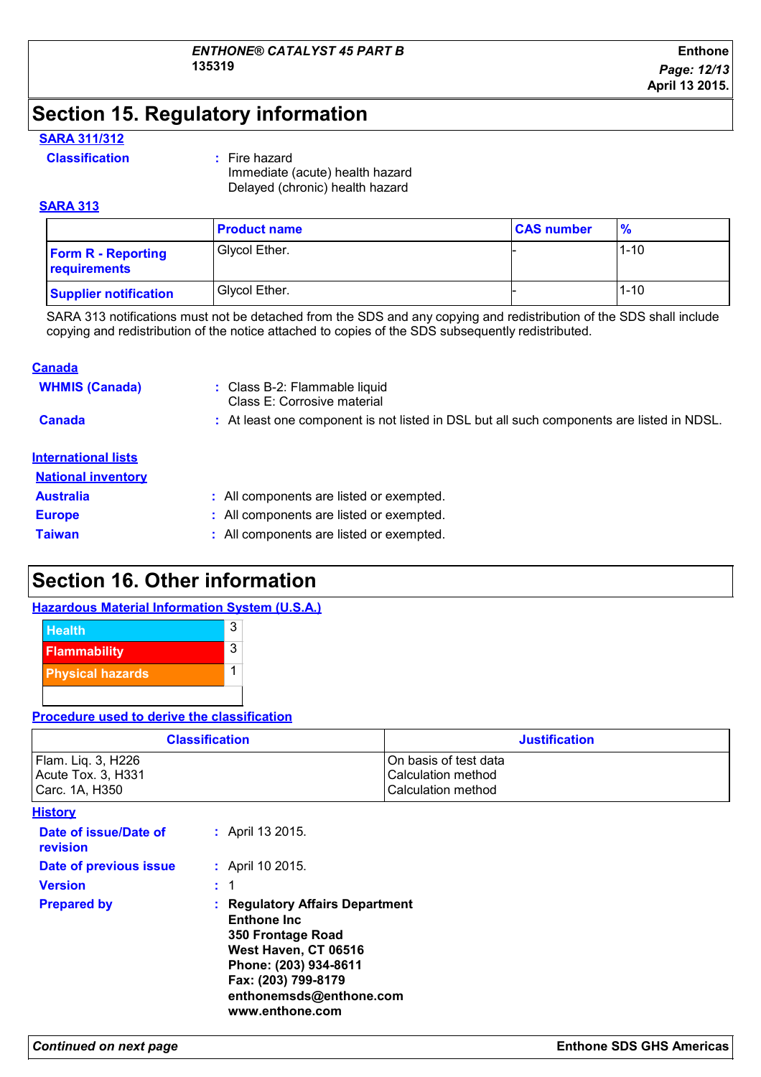## **Section 15. Regulatory information**

#### **SARA 311/312**

#### **Classification :** Fire hazard

Immediate (acute) health hazard Delayed (chronic) health hazard

#### **SARA 313**

|                                           | <b>Product name</b> | <b>CAS number</b> | $\frac{9}{6}$ |
|-------------------------------------------|---------------------|-------------------|---------------|
| <b>Form R - Reporting</b><br>requirements | Glycol Ether.       |                   | $1 - 10$      |
| <b>Supplier notification</b>              | Glycol Ether.       |                   | $1 - 10$      |

SARA 313 notifications must not be detached from the SDS and any copying and redistribution of the SDS shall include copying and redistribution of the notice attached to copies of the SDS subsequently redistributed.

#### **Canada**

| : Class B-2: Flammable liquid<br>Class E: Corrosive material                              |
|-------------------------------------------------------------------------------------------|
| : At least one component is not listed in DSL but all such components are listed in NDSL. |
|                                                                                           |
|                                                                                           |
| : All components are listed or exempted.                                                  |
| : All components are listed or exempted.                                                  |
| : All components are listed or exempted.                                                  |
|                                                                                           |

### **Section 16. Other information**

|--|



#### **Procedure used to derive the classification**

| <b>Classification</b> | <b>Justification</b>   |
|-----------------------|------------------------|
| Flam. Lig. 3, H226    | IOn basis of test data |
| Acute Tox. 3, H331    | Calculation method     |
| Carc. 1A, H350        | I Calculation method   |

| <b>History</b>                    |                                                                                                                                                                                                        |
|-----------------------------------|--------------------------------------------------------------------------------------------------------------------------------------------------------------------------------------------------------|
| Date of issue/Date of<br>revision | : April 13 2015.                                                                                                                                                                                       |
| Date of previous issue            | : April 10 2015.                                                                                                                                                                                       |
| <b>Version</b>                    | : 1                                                                                                                                                                                                    |
| <b>Prepared by</b>                | <b>Regulatory Affairs Department</b><br><b>Enthone Inc.</b><br>350 Frontage Road<br>West Haven, CT 06516<br>Phone: (203) 934-8611<br>Fax: (203) 799-8179<br>enthonemsds@enthone.com<br>www.enthone.com |